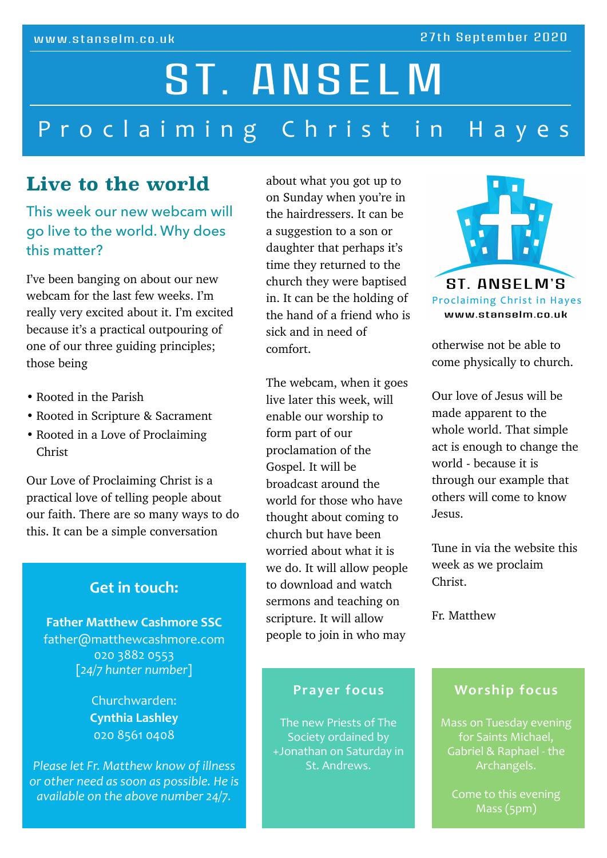# Proclaiming Christ in Hayes ST. ANSELM

## Live to the world

This week our new webcam will go live to the world. Why does this matter?

I've been banging on about our new webcam for the last few weeks. I'm really very excited about it. I'm excited because it's a practical outpouring of one of our three guiding principles; those being

- Rooted in the Parish
- Rooted in Scripture & Sacrament
- Rooted in a Love of Proclaiming Christ

Our Love of Proclaiming Christ is a practical love of telling people about our faith. There are so many ways to do this. It can be a simple conversation

## **Get in touch:**

**Father Matthew Cashmore SSC** father@matthewcashmore.com 020 3882 0553 [*24/7 hunter number*] 

> Churchwarden: **Cynthia Lashley** 020 8561 0408

*Please let Fr. Matthew know of illness or* other need as soon as possible. He is *available* on the above number 24/7.

about what you got up to on Sunday when you're in the hairdressers. It can be a suggestion to a son or daughter that perhaps it's time they returned to the church they were baptised in. It can be the holding of the hand of a friend who is sick and in need of comfort.

The webcam, when it goes live later this week, will enable our worship to form part of our proclamation of the Gospel. It will be broadcast around the world for those who have thought about coming to church but have been worried about what it is we do. It will allow people to download and watch sermons and teaching on scripture. It will allow people to join in who may

## **Prayer focus**

The new Priests of The Society ordained by +Jonathan on Saturday in St. Andrews.



otherwise not be able to come physically to church.

Our love of Jesus will be made apparent to the whole world. That simple act is enough to change the world - because it is through our example that others will come to know Jesus.

Tune in via the website this week as we proclaim Christ.

Fr. Matthew

## **Worship focus**

Mass on Tuesday evening for Saints Michael, Gabriel & Raphael - the Archangels. 

Come to this evening Mass (5pm)